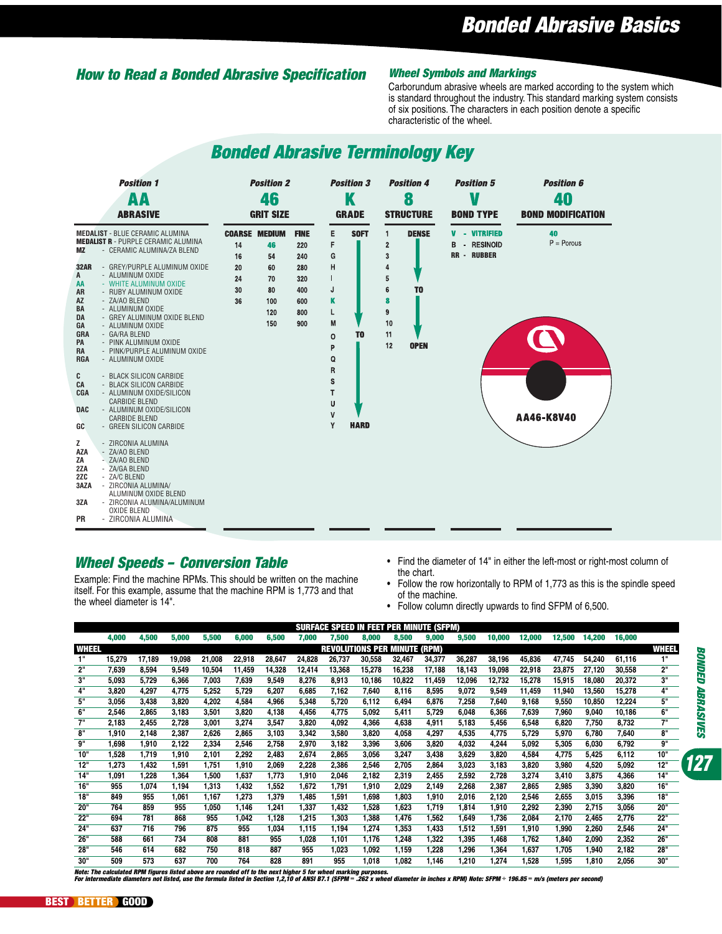# Bonded Abrasive Basics

# How to Read a Bonded Abrasive Specification Wheel Symbols and Markings

Carborundum abrasive wheels are marked according to the system which is standard throughout the industry. This standard marking system consists of six positions. The characters in each position denote a specific characteristic of the wheel.

# **Bonded Abrasive Terminology Key**



# Wheel Speeds – Conversion Table

Example: Find the machine RPMs. This should be written on the machine itself. For this example, assume that the machine RPM is 1,773 and that the wheel diameter is 14".

- Find the diameter of 14" in either the left-most or right-most column of the chart.
- Follow the row horizontally to RPM of 1,773 as this is the spindle speed of the machine.
- Follow column directly upwards to find SFPM of 6,500.

|       | <b>SURFACE SPEED IN FEET PER MINUTE (SFPM)</b> |        |        |        |        |        |        |        |        |        |        |        |        |        |        |        |        |     |
|-------|------------------------------------------------|--------|--------|--------|--------|--------|--------|--------|--------|--------|--------|--------|--------|--------|--------|--------|--------|-----|
|       | 4,000                                          | 4,500  | 5,000  | 5,500  | 6,000  | 6,500  | 7,000  | 7,500  | 8,000  | 8,500  | 9,000  | 9,500  | 10,000 | 12,000 | 12,500 | 14,200 | 16,000 |     |
| WHEEL | NUTE (RPM)<br><b>REVOLUTIONS PER I</b><br>MП   |        |        |        |        |        |        |        |        |        |        |        |        |        |        | WHEEL  |        |     |
|       | 15,279                                         | 17,189 | 19,098 | 21,008 | 22,918 | 28,647 | 24,828 | 26,737 | 30,558 | 32,467 | 34,377 | 36,287 | 38,196 | 45,836 | 47,745 | 54,240 | 61,116 | 1"  |
| 2"    | 7,639                                          | 8,594  | 9,549  | 10,504 | 11,459 | 14,328 | 12,414 | 13,368 | 15,278 | 16,238 | 17,188 | 18,143 | 19,098 | 22,918 | 23,875 | 27,120 | 30,558 | 2"  |
| 3"    | 5,093                                          | 5,729  | 6,366  | 7,003  | 7,639  | 9,549  | 8,276  | 8,913  | 10,186 | 10,822 | 11,459 | 12,096 | 12,732 | 15,278 | 15,915 | 18,080 | 20,372 | 3"  |
| 4"    | 3,820                                          | 4,297  | 4,775  | 5,252  | 5,729  | 6,207  | 6,685  | 7,162  | 7,640  | 8,116  | 8,595  | 9,072  | 9,549  | 11,459 | 11,940 | 13,560 | 15,278 | 4"  |
| 5"    | 3,056                                          | 3,438  | 3,820  | 4,202  | 4,584  | 4,966  | 5,348  | 5,720  | 6,112  | 6,494  | 6,876  | 7,258  | 7,640  | 9,168  | 9,550  | 10,850 | 12,224 | 5"  |
| 6"    | 2,546                                          | 2,865  | 3,183  | 3,501  | 3,820  | 4,138  | 4,456  | 4,775  | 5,092  | 5,411  | 5,729  | 6,048  | 6,366  | 7,639  | 7,960  | 9,040  | 10,186 | 6"  |
| 711   | 2,183                                          | 2,455  | 2,728  | 3,001  | 3,274  | 3,547  | 3,820  | 4,092  | 4,366  | 4,638  | 4,911  | 5,183  | 5,456  | 6,548  | 6,820  | 7,750  | 8,732  | 7"  |
| 8"    | 1,910                                          | 2,148  | 2,387  | 2,626  | 2,865  | 3,103  | 3,342  | 3,580  | 3,820  | 4,058  | 4,297  | 4,535  | 4,775  | 5,729  | 5,970  | 6,780  | 7,640  | 8"  |
| g"    | 1,698                                          | 1,910  | 2,122  | 2,334  | 2,546  | 2,758  | 2,970  | 3,182  | 3,396  | 3,606  | 3,820  | 4,032  | 4,244  | 5,092  | 5,305  | 6,030  | 6,792  | g"  |
| 10"   | 1,528                                          | 1,719  | 1,910  | 2,101  | 2,292  | 2,483  | 2,674  | 2,865  | 3,056  | 3,247  | 3,438  | 3,629  | 3,820  | 4,584  | 4,775  | 5,425  | 6,112  | 10" |
| 12"   | 1,273                                          | 1,432  | 1,591  | 1,751  | 1,910  | 2,069  | 2,228  | 2,386  | 2,546  | 2,705  | 2,864  | 3,023  | 3,183  | 3,820  | 3,980  | 4,520  | 5,092  | 12" |
| 14"   | 1,091                                          | 1,228  | 1,364  | 1,500  | 1,637  | 1.773  | 1.910  | 2,046  | 2.182  | 2,319  | 2,455  | 2,592  | 2,728  | 3,274  | 3,410  | 3,875  | 4,366  | 14" |
| 16"   | 955                                            | 1,074  | 1,194  | 1,313  | 1,432  | 1,552  | 1,672  | 1,791  | 1,910  | 2,029  | 2,149  | 2,268  | 2,387  | 2,865  | 2,985  | 3,390  | 3,820  | 16" |
| 18"   | 849                                            | 955    | 1,061  | 1.167  | 1,273  | 1,379  | 1,485  | 1,591  | 1,698  | 1,803  | 1,910  | 2,016  | 2,120  | 2,546  | 2,655  | 3,015  | 3,396  | 18" |
| 20"   | 764                                            | 859    | 955    | 1,050  | 1,146  | 1,241  | 1,337  | 1,432  | 1,528  | 1,623  | 1,719  | 1,814  | 1,910  | 2,292  | 2,390  | 2,715  | 3,056  | 20" |
| 22"   | 694                                            | 781    | 868    | 955    | 1,042  | 1,128  | 1,215  | 1,303  | 1,388  | 1,476  | 1,562  | 1,649  | 1,736  | 2,084  | 2,170  | 2,465  | 2,776  | 22" |
| 24"   | 637                                            | 716    | 796    | 875    | 955    | 1,034  | 1,115  | 1,194  | 1,274  | 1,353  | 1,433  | 1,512  | 1,591  | 1,910  | 1,990  | 2,260  | 2,546  | 24" |
| 26"   | 588                                            | 661    | 734    | 808    | 881    | 955    | 1,028  | 1,101  | 1,176  | 248. ا | 1,322  | 1,395  | 468. ا | 1,762  | 1,840  | 2,090  | 2,352  | 26" |
| 28"   | 546                                            | 614    | 682    | 750    | 818    | 887    | 955    | 1,023  | 1,092  | 1,159  | 1,228  | 1,296  | 1,364  | 1,637  | 1,705  | 1,940  | 2,182  | 28" |
| 30"   | 509                                            | 573    | 637    | 700    | 764    | 828    | 891    | 955    | 1.018  | 1.082  | 1.146  | 210. ا | .274   | 1.528  | 1.595  | 1.810  | 2.056  | 30" |

Note: The calculated RPM figures listed above are rounded off to the next higher 5 for wheel marking purposes.<br>For intermediate diameters not listed, use the formula listed in Section 1,2,10 of ANSI B7.1 (SFPM = .262 x whe

127